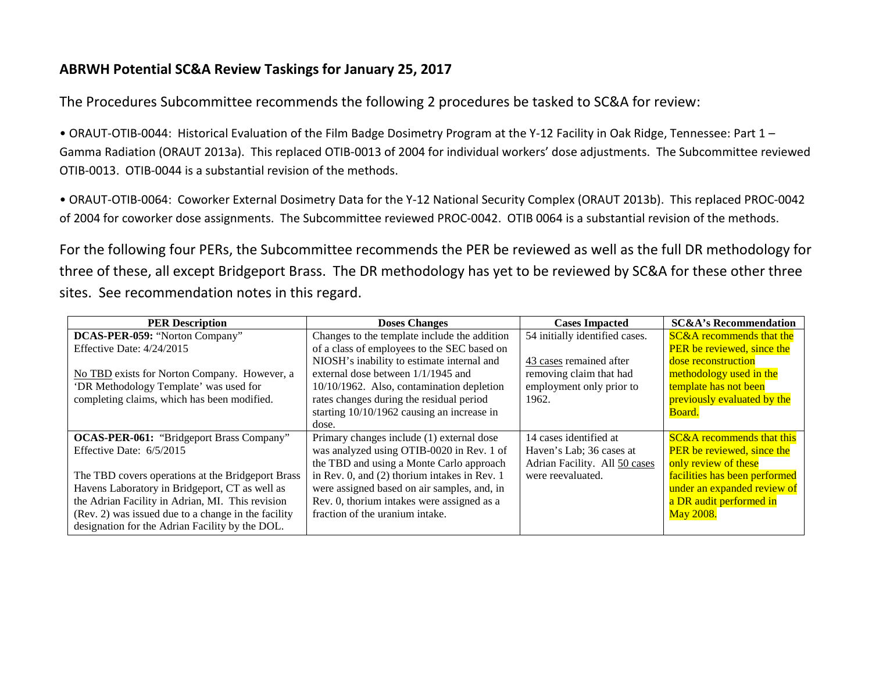## **ABRWH Potential SC&A Review Taskings for January 25, 2017**

The Procedures Subcommittee recommends the following 2 procedures be tasked to SC&A for review:

• ORAUT-OTIB-0044: Historical Evaluation of the Film Badge Dosimetry Program at the Y-12 Facility in Oak Ridge, Tennessee: Part 1 – Gamma Radiation (ORAUT 2013a). This replaced OTIB-0013 of 2004 for individual workers' dose adjustments. The Subcommittee reviewed OTIB-0013. OTIB-0044 is a substantial revision of the methods.

• ORAUT-OTIB-0064: Coworker External Dosimetry Data for the Y-12 National Security Complex (ORAUT 2013b). This replaced PROC-0042 of 2004 for coworker dose assignments. The Subcommittee reviewed PROC-0042. OTIB 0064 is a substantial revision of the methods.

For the following four PERs, the Subcommittee recommends the PER be reviewed as well as the full DR methodology for three of these, all except Bridgeport Brass. The DR methodology has yet to be reviewed by SC&A for these other three sites. See recommendation notes in this regard.

| <b>PER Description</b>                              | <b>Doses Changes</b>                           | <b>Cases Impacted</b>          | <b>SC&amp;A's Recommendation</b>     |
|-----------------------------------------------------|------------------------------------------------|--------------------------------|--------------------------------------|
| DCAS-PER-059: "Norton Company"                      | Changes to the template include the addition   | 54 initially identified cases. | <b>SC&amp;A</b> recommends that the  |
| Effective Date: 4/24/2015                           | of a class of employees to the SEC based on    |                                | <b>PER</b> be reviewed, since the    |
|                                                     | NIOSH's inability to estimate internal and     | 43 cases remained after        | dose reconstruction                  |
| No TBD exists for Norton Company. However, a        | external dose between 1/1/1945 and             | removing claim that had        | methodology used in the              |
| 'DR Methodology Template' was used for              | 10/10/1962. Also, contamination depletion      | employment only prior to       | template has not been                |
| completing claims, which has been modified.         | rates changes during the residual period       | 1962.                          | previously evaluated by the          |
|                                                     | starting 10/10/1962 causing an increase in     |                                | Board.                               |
|                                                     | dose.                                          |                                |                                      |
| <b>OCAS-PER-061:</b> "Bridgeport Brass Company"     | Primary changes include (1) external dose      | 14 cases identified at         | <b>SC&amp;A</b> recommends that this |
| Effective Date: 6/5/2015                            | was analyzed using OTIB-0020 in Rev. 1 of      | Haven's Lab; 36 cases at       | <b>PER</b> be reviewed, since the    |
|                                                     | the TBD and using a Monte Carlo approach       | Adrian Facility. All 50 cases  | only review of these                 |
| The TBD covers operations at the Bridgeport Brass   | in Rev. 0, and $(2)$ thorium intakes in Rev. 1 | were reevaluated.              | facilities has been performed        |
| Havens Laboratory in Bridgeport, CT as well as      | were assigned based on air samples, and, in    |                                | under an expanded review of          |
| the Adrian Facility in Adrian, MI. This revision    | Rev. 0, thorium intakes were assigned as a     |                                | a DR audit performed in              |
| (Rev. 2) was issued due to a change in the facility | fraction of the uranium intake.                |                                | May 2008.                            |
| designation for the Adrian Facility by the DOL.     |                                                |                                |                                      |